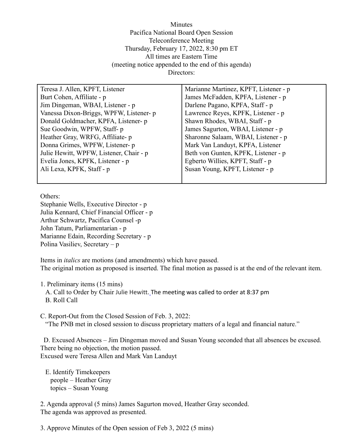Minutes Pacifica National Board Open Session Teleconference Meeting Thursday, February 17, 2022, 8:30 pm ET All times are Eastern Time (meeting notice appended to the end of this agenda) Directors:

| Teresa J. Allen, KPFT, Listener         | Marianne Martinez, KPFT, Listener - p |
|-----------------------------------------|---------------------------------------|
| Burt Cohen, Affiliate - p               | James McFadden, KPFA, Listener - p    |
| Jim Dingeman, WBAI, Listener - p        | Darlene Pagano, KPFA, Staff - p       |
| Vanessa Dixon-Briggs, WPFW, Listener- p | Lawrence Reyes, KPFK, Listener - p    |
| Donald Goldmacher, KPFA, Listener- p    | Shawn Rhodes, WBAI, Staff - p         |
| Sue Goodwin, WPFW, Staff-p              | James Sagurton, WBAI, Listener - p    |
| Heather Gray, WRFG, Affiliate- p        | Sharonne Salaam, WBAI, Listener - p   |
| Donna Grimes, WPFW, Listener- p         | Mark Van Landuyt, KPFA, Listener      |
| Julie Hewitt, WPFW, Listener, Chair - p | Beth von Gunten, KPFK, Listener - p   |
| Evelia Jones, KPFK, Listener - p        | Egberto Willies, KPFT, Staff - p      |
| Ali Lexa, KPFK, Staff - p               | Susan Young, KPFT, Listener - p       |
|                                         |                                       |

Others:

Stephanie Wells, Executive Director - p Julia Kennard, Chief Financial Officer - p Arthur Schwartz, Pacifica Counsel -p John Tatum, Parliamentarian - p Marianne Edain, Recording Secretary - p Polina Vasiliev, Secretary – p

Items in *italics* are motions (and amendments) which have passed. The original motion as proposed is inserted. The final motion as passed is at the end of the relevant item.

1. Preliminary items (15 mins)

A. Call to Order by Chair Julie Hewitt. The meeting was called to order at 8:37 pm B. Roll Call

C. Report-Out from the Closed Session of Feb. 3, 2022: "The PNB met in closed session to discuss proprietary matters of a legal and financial nature."

D. Excused Absences – Jim Dingeman moved and Susan Young seconded that all absences be excused. There being no objection, the motion passed. Excused were Teresa Allen and Mark Van Landuyt

E. Identify Timekeepers people – Heather Gray topics – Susan Young

2. Agenda approval (5 mins) James Sagurton moved, Heather Gray seconded. The agenda was approved as presented.

3. Approve Minutes of the Open session of Feb 3, 2022 (5 mins)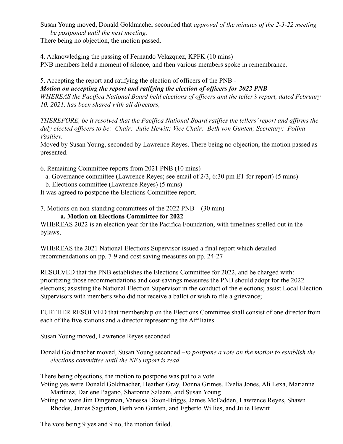Susan Young moved, Donald Goldmacher seconded that *approval of the minutes of the 2-3-22 meeting be postponed until the next meeting.*

There being no objection, the motion passed.

4. Acknowledging the passing of Fernando Velazquez, KPFK (10 mins) PNB members held a moment of silence, and then various members spoke in remembrance.

5. Accepting the report and ratifying the election of officers of the PNB - *Motion on accepting the report and ratifying the election of officers for 2022 PNB WHEREAS the Pacifica National Board held elections of officers and the teller's report, dated February 10, 2021, has been shared with all directors,*

*THEREFORE, be it resolved that the Pacifica National Board ratifies the tellers' report and affirms the duly elected officers to be: Chair: Julie Hewitt; Vice Chair: Beth von Gunten; Secretary: Polina Vasiliev.*

Moved by Susan Young, seconded by Lawrence Reyes. There being no objection, the motion passed as presented.

- 6. Remaining Committee reports from 2021 PNB (10 mins)
	- a. Governance committee (Lawrence Reyes; see email of 2/3, 6:30 pm ET for report) (5 mins)
	- b. Elections committee (Lawrence Reyes) (5 mins)

It was agreed to postpone the Elections Committee report.

7. Motions on non-standing committees of the 2022 PNB – (30 min)

## **a. Motion on Elections Committee for 2022**

WHEREAS 2022 is an election year for the Pacifica Foundation, with timelines spelled out in the bylaws,

WHEREAS the 2021 National Elections Supervisor issued a final report which detailed recommendations on pp. 7-9 and cost saving measures on pp. 24-27

RESOLVED that the PNB establishes the Elections Committee for 2022, and be charged with: prioritizing those recommendations and cost-savings measures the PNB should adopt for the 2022 elections; assisting the National Election Supervisor in the conduct of the elections; assist Local Election Supervisors with members who did not receive a ballot or wish to file a grievance;

FURTHER RESOLVED that membership on the Elections Committee shall consist of one director from each of the five stations and a director representing the Affiliates.

Susan Young moved, Lawrence Reyes seconded

Donald Goldmacher moved, Susan Young seconded –*to postpone a vote on the motion to establish the elections committee until the NES report is read*.

There being objections, the motion to postpone was put to a vote.

- Voting yes were Donald Goldmacher, Heather Gray, Donna Grimes, Evelia Jones, Ali Lexa, Marianne Martinez, Darlene Pagano, Sharonne Salaam, and Susan Young
- Voting no were Jim Dingeman, Vanessa Dixon-Briggs, James McFadden, Lawrence Reyes, Shawn Rhodes, James Sagurton, Beth von Gunten, and Egberto Willies, and Julie Hewitt

The vote being 9 yes and 9 no, the motion failed.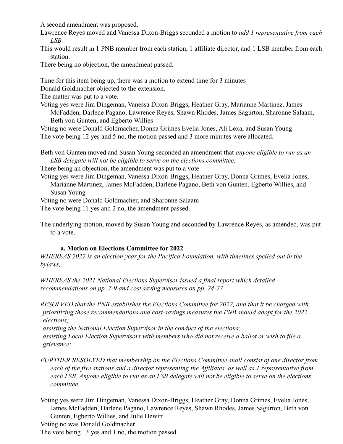A second amendment was proposed.

Lawrence Reyes moved and Vanessa Dixon-Briggs seconded a motion to *add 1 representative from each LSB.*

This would result in 1 PNB member from each station, 1 affiliate director, and 1 LSB member from each station.

There being no objection, the amendment passed.

Time for this item being up, there was a motion to extend time for 3 minutes

Donald Goldmacher objected to the extension.

The matter was put to a vote.

Voting yes were Jim Dingeman, Vanessa Dixon-Briggs, Heather Gray, Marianne Martinez, James McFadden, Darlene Pagano, Lawrence Reyes, Shawn Rhodes, James Sagurton, Sharonne Salaam, Beth von Gunten, and Egberto Willies

Voting no were Donald Goldmacher, Donna Grimes Evelia Jones, Ali Lexa, and Susan Young The vote being 12 yes and 5 no, the motion passed and 3 more minutes were allocated.

Beth von Gunten moved and Susan Young seconded an amendment that *anyone eligible to run as an LSB delegate will not be eligible to serve on the elections committee.*

There being an objection, the amendment was put to a vote.

Voting yes were Jim Dingeman, Vanessa Dixon-Briggs, Heather Gray, Donna Grimes, Evelia Jones, Marianne Martinez, James McFadden, Darlene Pagano, Beth von Gunten, Egberto Willies, and Susan Young

Voting no were Donald Goldmacher, and Sharonne Salaam

The vote being 11 yes and 2 no, the amendment passed.

The underlying motion, moved by Susan Young and seconded by Lawrence Reyes, as amended, was put to a vote.

## **a. Motion on Elections Committee for 2022**

*WHEREAS 2022 is an election year for the Pacifica Foundation, with timelines spelled out in the bylaws,*

*WHEREAS the 2021 National Elections Supervisor issued a final report which detailed recommendations on pp. 7-9 and cost saving measures on pp. 24-27*

*RESOLVED that the PNB establishes the Elections Committee for 2022, and that it be charged with: prioritizing those recommendations and cost-savings measures the PNB should adopt for the 2022 elections;*

*assisting the National Election Supervisor in the conduct of the elections; assisting Local Election Supervisors with members who did not receive a ballot or wish to file a grievance;*

*FURTHER RESOLVED that membership on the Elections Committee shall consist of one director from each of the five stations and a director representing the Affiliates. as well as 1 representative from each LSB. Anyone eligible to run as an LSB delegate will not be eligible to serve on the elections committee.*

Voting yes were Jim Dingeman, Vanessa Dixon-Briggs, Heather Gray, Donna Grimes, Evelia Jones, James McFadden, Darlene Pagano, Lawrence Reyes, Shawn Rhodes, James Sagurton, Beth von Gunten, Egberto Willies, and Julie Hewitt

Voting no was Donald Goldmacher

The vote being 13 yes and 1 no, the motion passed.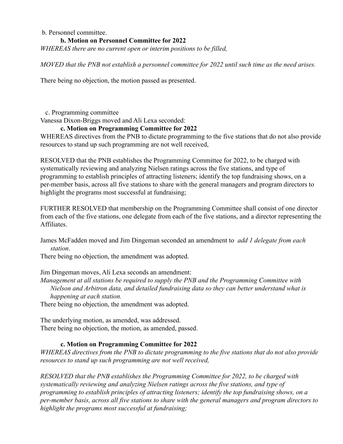### b. Personnel committee.

### **b. Motion on Personnel Committee for 2022**

*WHEREAS there are no current open or interim positions to be filled,*

*MOVED that the PNB not establish a personnel committee for 2022 until such time as the need arises.*

There being no objection, the motion passed as presented.

c. Programming committee

Vanessa Dixon-Briggs moved and Ali Lexa seconded:

## **c. Motion on Programming Committee for 2022**

WHEREAS directives from the PNB to dictate programming to the five stations that do not also provide resources to stand up such programming are not well received,

RESOLVED that the PNB establishes the Programming Committee for 2022, to be charged with systematically reviewing and analyzing Nielsen ratings across the five stations, and type of programming to establish principles of attracting listeners; identify the top fundraising shows, on a per-member basis, across all five stations to share with the general managers and program directors to highlight the programs most successful at fundraising;

FURTHER RESOLVED that membership on the Programming Committee shall consist of one director from each of the five stations, one delegate from each of the five stations, and a director representing the Affiliates.

James McFadden moved and Jim Dingeman seconded an amendment to *add 1 delegate from each station*.

There being no objection, the amendment was adopted.

Jim Dingeman moves, Ali Lexa seconds an amendment:

*Management at all stations be required to supply the PNB and the Programming Committee with Nielson and Arbitron data, and detailed fundraising data so they can better understand what is happening at each station.*

There being no objection, the amendment was adopted.

The underlying motion, as amended, was addressed. There being no objection, the motion, as amended, passed.

## **c. Motion on Programming Committee for 2022**

*WHEREAS directives from the PNB to dictate programming to the five stations that do not also provide resources to stand up such programming are not well received,*

*RESOLVED that the PNB establishes the Programming Committee for 2022, to be charged with systematically reviewing and analyzing Nielsen ratings across the five stations, and type of programming to establish principles of attracting listeners; identify the top fundraising shows, on a per-member basis, across all five stations to share with the general managers and program directors to highlight the programs most successful at fundraising;*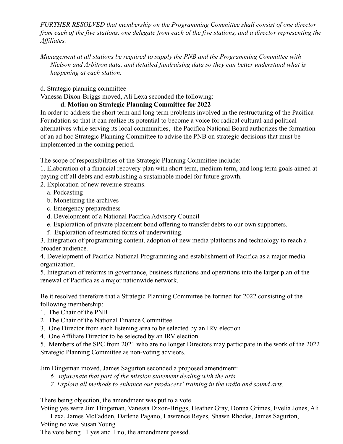*FURTHER RESOLVED that membership on the Programming Committee shall consist of one director from each of the five stations, one delegate from each of the five stations, and a director representing the Affiliates.*

*Management at all stations be required to supply the PNB and the Programming Committee with Nielson and Arbitron data, and detailed fundraising data so they can better understand what is happening at each station.*

d. Strategic planning committee

Vanessa Dixon-Briggs moved, Ali Lexa seconded the following:

# **d. Motion on Strategic Planning Committee for 2022**

In order to address the short term and long term problems involved in the restructuring of the Pacifica Foundation so that it can realize its potential to become a voice for radical cultural and political alternatives while serving its local communities, the Pacifica National Board authorizes the formation of an ad hoc Strategic Planning Committee to advise the PNB on strategic decisions that must be implemented in the coming period.

The scope of responsibilities of the Strategic Planning Committee include:

1. Elaboration of a financial recovery plan with short term, medium term, and long term goals aimed at paying off all debts and establishing a sustainable model for future growth.

- 2. Exploration of new revenue streams.
	- a. Podcasting
	- b. Monetizing the archives
	- c. Emergency preparedness
	- d. Development of a National Pacifica Advisory Council
	- e. Exploration of private placement bond offering to transfer debts to our own supporters.
	- f. Exploration of restricted forms of underwriting.

3. Integration of programming content, adoption of new media platforms and technology to reach a broader audience.

4. Development of Pacifica National Programming and establishment of Pacifica as a major media organization.

5. Integration of reforms in governance, business functions and operations into the larger plan of the renewal of Pacifica as a major nationwide network.

Be it resolved therefore that a Strategic Planning Committee be formed for 2022 consisting of the following membership:

- 1. The Chair of the PNB
- 2 The Chair of the National Finance Committee
- 3. One Director from each listening area to be selected by an IRV election
- 4. One Affiliate Director to be selected by an IRV election

5. Members of the SPC from 2021 who are no longer Directors may participate in the work of the 2022 Strategic Planning Committee as non-voting advisors.

Jim Dingeman moved, James Sagurton seconded a proposed amendment:

- *6. rejuvenate that part of the mission statement dealing with the arts.*
- *7. Explore all methods to enhance our producers' training in the radio and sound arts.*

There being objection, the amendment was put to a vote.

Voting yes were Jim Dingeman, Vanessa Dixon-Briggs, Heather Gray, Donna Grimes, Evelia Jones, Ali

Lexa, James McFadden, Darlene Pagano, Lawrence Reyes, Shawn Rhodes, James Sagurton,

Voting no was Susan Young

The vote being 11 yes and 1 no, the amendment passed.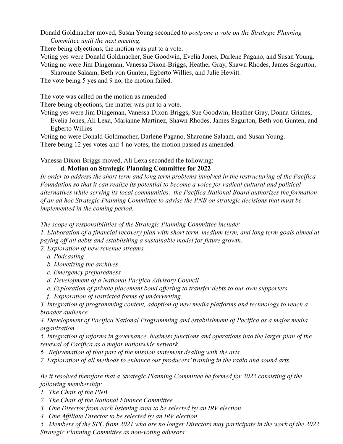Donald Goldmacher moved, Susan Young seconded to *postpone a vote on the Strategic Planning Committee until the next meeting.*

There being objections, the motion was put to a vote.

Voting yes were Donald Goldmacher, Sue Goodwin, Evelia Jones, Darlene Pagano, and Susan Young. Voting no were Jim Dingeman, Vanessa Dixon-Briggs, Heather Gray, Shawn Rhodes, James Sagurton,

Sharonne Salaam, Beth von Gunten, Egberto Willies, and Julie Hewitt.

The vote being 5 yes and 9 no, the motion failed.

The vote was called on the motion as amended

There being objections, the matter was put to a vote.

Voting yes were Jim Dingeman, Vanessa Dixon-Briggs, Sue Goodwin, Heather Gray, Donna Grimes, Evelia Jones, Ali Lexa, Marianne Martinez, Shawn Rhodes, James Sagurton, Beth von Gunten, and Egberto Willies

Voting no were Donald Goldmacher, Darlene Pagano, Sharonne Salaam, and Susan Young. There being 12 yes votes and 4 no votes, the motion passed as amended.

Vanessa Dixon-Briggs moved, Ali Lexa seconded the following:

**d. Motion on Strategic Planning Committee for 2022**

*In order to address the short term and long term problems involved in the restructuring of the Pacifica Foundation so that it can realize its potential to become a voice for radical cultural and political alternatives while serving its local communities, the Pacifica National Board authorizes the formation of an ad hoc Strategic Planning Committee to advise the PNB on strategic decisions that must be implemented in the coming period.*

*The scope of responsibilities of the Strategic Planning Committee include:*

*1. Elaboration of a financial recovery plan with short term, medium term, and long term goals aimed at paying off all debts and establishing a sustainable model for future growth.*

*2. Exploration of new revenue streams.*

- *a. Podcasting*
- *b. Monetizing the archives*
- *c. Emergency preparedness*
- *d. Development of a National Pacifica Advisory Council*
- *e. Exploration of private placement bond offering to transfer debts to our own supporters.*
- *f. Exploration of restricted forms of underwriting.*

*3. Integration of programming content, adoption of new media platforms and technology to reach a broader audience.*

*4. Development of Pacifica National Programming and establishment of Pacifica as a major media organization.*

*5. Integration of reforms in governance, business functions and operations into the larger plan of the renewal of Pacifica as a major nationwide network.*

*6. Rejuvenation of that part of the mission statement dealing with the arts.*

*7. Exploration of all methods to enhance our producers' training in the radio and sound arts.*

*Be it resolved therefore that a Strategic Planning Committee be formed for 2022 consisting of the following membership:*

*1. The Chair of the PNB*

- *2 The Chair of the National Finance Committee*
- *3. One Director from each listening area to be selected by an IRV election*

*4. One Affiliate Director to be selected by an IRV election*

*5. Members of the SPC from 2021 who are no longer Directors may participate in the work of the 2022 Strategic Planning Committee as non-voting advisors.*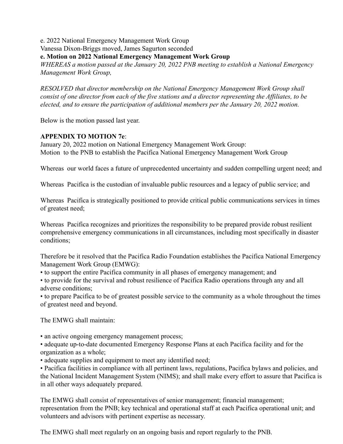e. 2022 National Emergency Management Work Group

Vanessa Dixon-Briggs moved, James Sagurton seconded

**e. Motion on 2022 National Emergency Management Work Group**

*WHEREAS a motion passed at the January 20, 2022 PNB meeting to establish a National Emergency Management Work Group,*

*RESOLVED that director membership on the National Emergency Management Work Group shall consist of one director from each of the five stations and a director representing the Affiliates, to be elected, and to ensure the participation of additional members per the January 20, 2022 motion.*

Below is the motion passed last year.

## **APPENDIX TO MOTION 7e**:

January 20, 2022 motion on National Emergency Management Work Group: Motion to the PNB to establish the Pacifica National Emergency Management Work Group

Whereas our world faces a future of unprecedented uncertainty and sudden compelling urgent need; and

Whereas Pacifica is the custodian of invaluable public resources and a legacy of public service; and

Whereas Pacifica is strategically positioned to provide critical public communications services in times of greatest need;

Whereas Pacifica recognizes and prioritizes the responsibility to be prepared provide robust resilient comprehensive emergency communications in all circumstances, including most specifically in disaster conditions;

Therefore be it resolved that the Pacifica Radio Foundation establishes the Pacifica National Emergency Management Work Group (EMWG):

• to support the entire Pacifica community in all phases of emergency management; and

• to provide for the survival and robust resilience of Pacifica Radio operations through any and all adverse conditions;

• to prepare Pacifica to be of greatest possible service to the community as a whole throughout the times of greatest need and beyond.

The EMWG shall maintain:

• an active ongoing emergency management process;

• adequate up-to-date documented Emergency Response Plans at each Pacifica facility and for the organization as a whole;

• adequate supplies and equipment to meet any identified need;

• Pacifica facilities in compliance with all pertinent laws, regulations, Pacifica bylaws and policies, and the National Incident Management System (NIMS); and shall make every effort to assure that Pacifica is in all other ways adequately prepared.

The EMWG shall consist of representatives of senior management; financial management; representation from the PNB; key technical and operational staff at each Pacifica operational unit; and volunteers and advisors with pertinent expertise as necessary.

The EMWG shall meet regularly on an ongoing basis and report regularly to the PNB.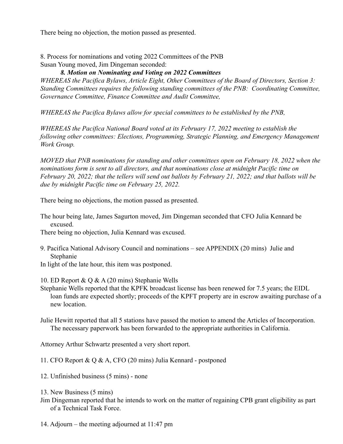There being no objection, the motion passed as presented.

8. Process for nominations and voting 2022 Committees of the PNB Susan Young moved, Jim Dingeman seconded:

### *8. Motion on Nominating and Voting on 2022 Committees*

*WHEREAS the Pacifica Bylaws, Article Eight, Other Committees of the Board of Directors, Section 3: Standing Committees requires the following standing committees of the PNB: Coordinating Committee, Governance Committee, Finance Committee and Audit Committee,*

*WHEREAS the Pacifica Bylaws allow for special committees to be established by the PNB,*

*WHEREAS the Pacifica National Board voted at its February 17, 2022 meeting to establish the following other committees: Elections, Programming, Strategic Planning, and Emergency Management Work Group.*

*MOVED that PNB nominations for standing and other committees open on February 18, 2022 when the nominations form is sent to all directors, and that nominations close at midnight Pacific time on February 20, 2022; that the tellers will send out ballots by February 21, 2022; and that ballots will be due by midnight Pacific time on February 25, 2022.*

There being no objections, the motion passed as presented.

The hour being late, James Sagurton moved, Jim Dingeman seconded that CFO Julia Kennard be excused.

There being no objection, Julia Kennard was excused.

- 9. Pacifica National Advisory Council and nominations see APPENDIX (20 mins) Julie and Stephanie
- In light of the late hour, this item was postponed.

10. ED Report & Q & A (20 mins) Stephanie Wells

Stephanie Wells reported that the KPFK broadcast license has been renewed for 7.5 years; the EIDL loan funds are expected shortly; proceeds of the KPFT property are in escrow awaiting purchase of a new location.

Julie Hewitt reported that all 5 stations have passed the motion to amend the Articles of Incorporation. The necessary paperwork has been forwarded to the appropriate authorities in California.

Attorney Arthur Schwartz presented a very short report.

11. CFO Report & Q & A, CFO (20 mins) Julia Kennard - postponed

12. Unfinished business (5 mins) - none

13. New Business (5 mins)

- Jim Dingeman reported that he intends to work on the matter of regaining CPB grant eligibility as part of a Technical Task Force.
- 14. Adjourn the meeting adjourned at 11:47 pm